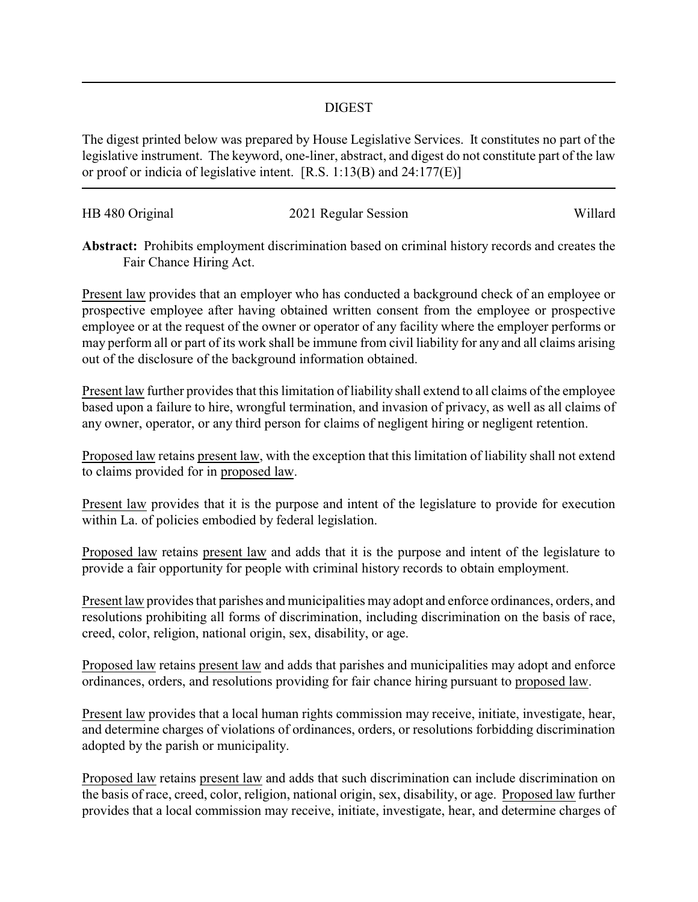## DIGEST

The digest printed below was prepared by House Legislative Services. It constitutes no part of the legislative instrument. The keyword, one-liner, abstract, and digest do not constitute part of the law or proof or indicia of legislative intent. [R.S. 1:13(B) and 24:177(E)]

| HB 480 Original | 2021 Regular Session | Willard |
|-----------------|----------------------|---------|
|                 |                      |         |

**Abstract:** Prohibits employment discrimination based on criminal history records and creates the Fair Chance Hiring Act.

Present law provides that an employer who has conducted a background check of an employee or prospective employee after having obtained written consent from the employee or prospective employee or at the request of the owner or operator of any facility where the employer performs or may perform all or part of its work shall be immune from civil liability for any and all claims arising out of the disclosure of the background information obtained.

Present law further provides that this limitation of liability shall extend to all claims of the employee based upon a failure to hire, wrongful termination, and invasion of privacy, as well as all claims of any owner, operator, or any third person for claims of negligent hiring or negligent retention.

Proposed law retains present law, with the exception that this limitation of liability shall not extend to claims provided for in proposed law.

Present law provides that it is the purpose and intent of the legislature to provide for execution within La. of policies embodied by federal legislation.

Proposed law retains present law and adds that it is the purpose and intent of the legislature to provide a fair opportunity for people with criminal history records to obtain employment.

Present law provides that parishes and municipalities may adopt and enforce ordinances, orders, and resolutions prohibiting all forms of discrimination, including discrimination on the basis of race, creed, color, religion, national origin, sex, disability, or age.

Proposed law retains present law and adds that parishes and municipalities may adopt and enforce ordinances, orders, and resolutions providing for fair chance hiring pursuant to proposed law.

Present law provides that a local human rights commission may receive, initiate, investigate, hear, and determine charges of violations of ordinances, orders, or resolutions forbidding discrimination adopted by the parish or municipality.

Proposed law retains present law and adds that such discrimination can include discrimination on the basis of race, creed, color, religion, national origin, sex, disability, or age. Proposed law further provides that a local commission may receive, initiate, investigate, hear, and determine charges of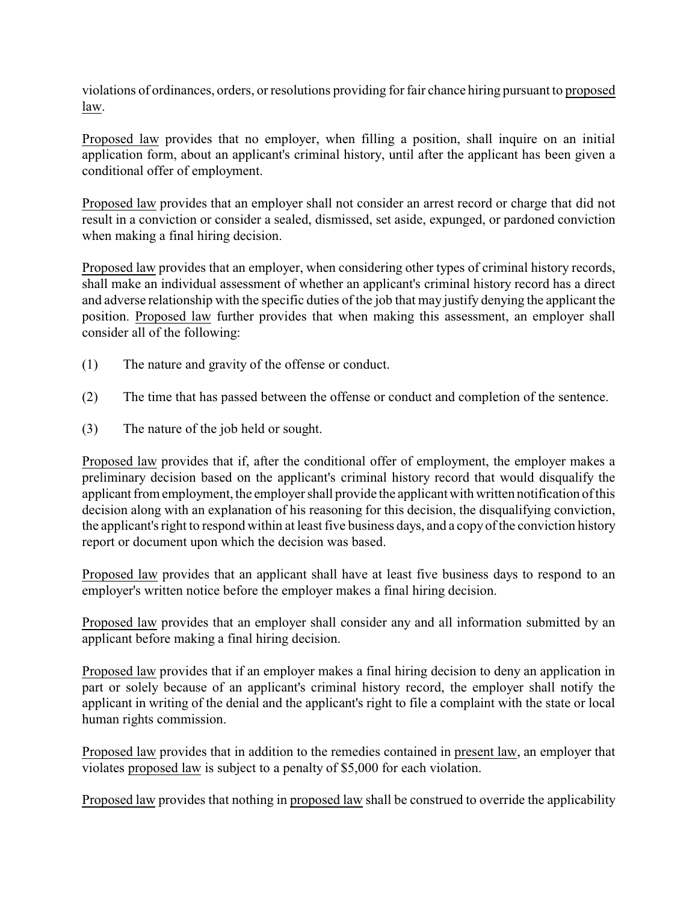violations of ordinances, orders, or resolutions providing for fair chance hiring pursuant to proposed law.

Proposed law provides that no employer, when filling a position, shall inquire on an initial application form, about an applicant's criminal history, until after the applicant has been given a conditional offer of employment.

Proposed law provides that an employer shall not consider an arrest record or charge that did not result in a conviction or consider a sealed, dismissed, set aside, expunged, or pardoned conviction when making a final hiring decision.

Proposed law provides that an employer, when considering other types of criminal history records, shall make an individual assessment of whether an applicant's criminal history record has a direct and adverse relationship with the specific duties of the job that may justify denying the applicant the position. Proposed law further provides that when making this assessment, an employer shall consider all of the following:

- (1) The nature and gravity of the offense or conduct.
- (2) The time that has passed between the offense or conduct and completion of the sentence.
- (3) The nature of the job held or sought.

Proposed law provides that if, after the conditional offer of employment, the employer makes a preliminary decision based on the applicant's criminal history record that would disqualify the applicant from employment, the employer shall provide the applicant with written notification of this decision along with an explanation of his reasoning for this decision, the disqualifying conviction, the applicant's right to respond within at least five business days, and a copy of the conviction history report or document upon which the decision was based.

Proposed law provides that an applicant shall have at least five business days to respond to an employer's written notice before the employer makes a final hiring decision.

Proposed law provides that an employer shall consider any and all information submitted by an applicant before making a final hiring decision.

Proposed law provides that if an employer makes a final hiring decision to deny an application in part or solely because of an applicant's criminal history record, the employer shall notify the applicant in writing of the denial and the applicant's right to file a complaint with the state or local human rights commission.

Proposed law provides that in addition to the remedies contained in present law, an employer that violates proposed law is subject to a penalty of \$5,000 for each violation.

Proposed law provides that nothing in proposed law shall be construed to override the applicability